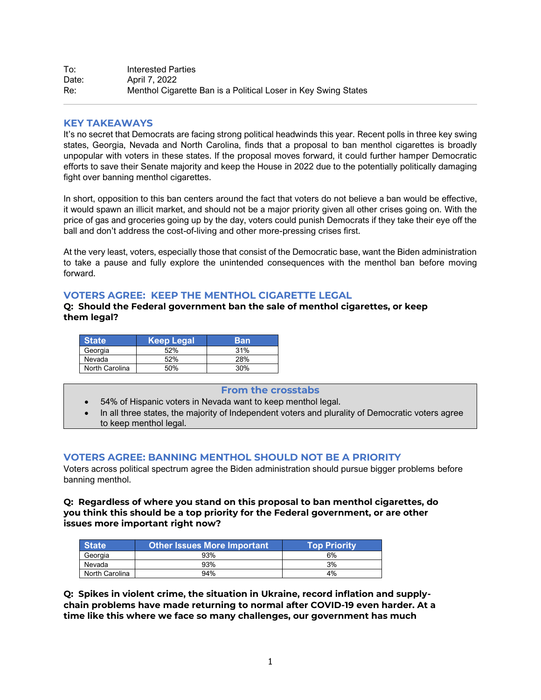## **KEY TAKEAWAYS**

It's no secret that Democrats are facing strong political headwinds this year. Recent polls in three key swing states, Georgia, Nevada and North Carolina, finds that a proposal to ban menthol cigarettes is broadly unpopular with voters in these states. If the proposal moves forward, it could further hamper Democratic efforts to save their Senate majority and keep the House in 2022 due to the potentially politically damaging fight over banning menthol cigarettes.

In short, opposition to this ban centers around the fact that voters do not believe a ban would be effective, it would spawn an illicit market, and should not be a major priority given all other crises going on. With the price of gas and groceries going up by the day, voters could punish Democrats if they take their eye off the ball and don't address the cost-of-living and other more-pressing crises first.

At the very least, voters, especially those that consist of the Democratic base, want the Biden administration to take a pause and fully explore the unintended consequences with the menthol ban before moving forward.

## **VOTERS AGREE: KEEP THE MENTHOL CIGARETTE LEGAL**

**Q: Should the Federal government ban the sale of menthol cigarettes, or keep them legal?**

| <b>State</b>   | Keep Legal | Ban |
|----------------|------------|-----|
| Georgia        | 52%        | 31% |
| Nevada         | 52%        | 28% |
| North Carolina | 50%        | 30% |

### **From the crosstabs**

- 54% of Hispanic voters in Nevada want to keep menthol legal.
- In all three states, the majority of Independent voters and plurality of Democratic voters agree to keep menthol legal.

## **VOTERS AGREE: BANNING MENTHOL SHOULD NOT BE A PRIORITY**

Voters across political spectrum agree the Biden administration should pursue bigger problems before banning menthol.

**Q: Regardless of where you stand on this proposal to ban menthol cigarettes, do you think this should be a top priority for the Federal government, or are other issues more important right now?**

| <b>State</b>   | <b>Other Issues More Important</b> | <b>Top Priority</b> |
|----------------|------------------------------------|---------------------|
| Georgia        | 93%                                | 6%                  |
| Nevada         | 93%                                | 3%                  |
| North Carolina | 94%                                | 4%                  |

**Q: Spikes in violent crime, the situation in Ukraine, record inflation and supplychain problems have made returning to normal after COVID-19 even harder. At a time like this where we face so many challenges, our government has much**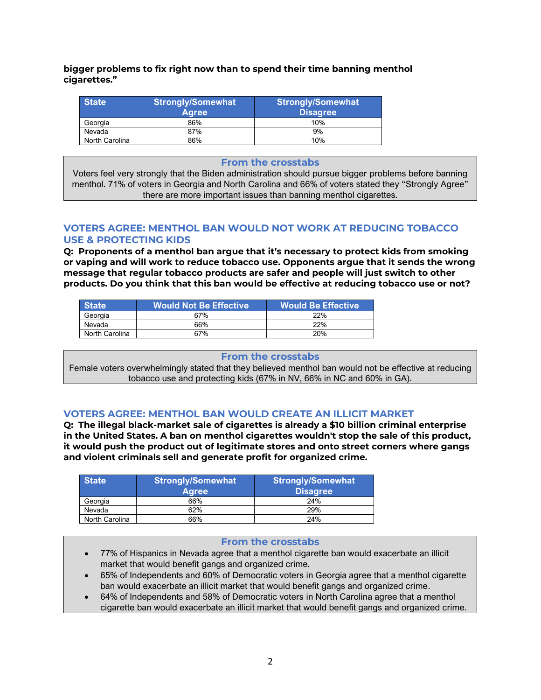**bigger problems to fix right now than to spend their time banning menthol cigarettes."**

| <b>State</b>   | <b>Strongly/Somewhat</b><br><b>Agree</b> | <b>Strongly/Somewhat</b><br><b>Disagree</b> |  |
|----------------|------------------------------------------|---------------------------------------------|--|
| Georgia        | 86%                                      | 10%                                         |  |
| Nevada         | 87%                                      | 9%                                          |  |
| North Carolina | 86%                                      | 10%                                         |  |

#### **From the crosstabs**

Voters feel very strongly that the Biden administration should pursue bigger problems before banning menthol. 71% of voters in Georgia and North Carolina and 66% of voters stated they "Strongly Agree" there are more important issues than banning menthol cigarettes.

## **VOTERS AGREE: MENTHOL BAN WOULD NOT WORK AT REDUCING TOBACCO USE & PROTECTING KIDS**

**Q: Proponents of a menthol ban argue that it's necessary to protect kids from smoking or vaping and will work to reduce tobacco use. Opponents argue that it sends the wrong message that regular tobacco products are safer and people will just switch to other products. Do you think that this ban would be effective at reducing tobacco use or not?**

| <b>State</b>   | <b>Would Not Be Effective</b> | Would Be Effective <sup>1</sup> |
|----------------|-------------------------------|---------------------------------|
| Georgia        | 67%                           | 22%                             |
| Nevada         | 66%                           | 22%                             |
| North Carolina | 67%                           | 20%                             |

#### **From the crosstabs**

Female voters overwhelmingly stated that they believed menthol ban would not be effective at reducing tobacco use and protecting kids (67% in NV, 66% in NC and 60% in GA).

## **VOTERS AGREE: MENTHOL BAN WOULD CREATE AN ILLICIT MARKET**

**Q: The illegal black-market sale of cigarettes is already a \$10 billion criminal enterprise in the United States. A ban on menthol cigarettes wouldn't stop the sale of this product, it would push the product out of legitimate stores and onto street corners where gangs and violent criminals sell and generate profit for organized crime.**

| <b>State</b>   | <b>Strongly/Somewhat</b><br><b>Agree</b> | <b>Strongly/Somewhat</b><br><b>Disagree</b> |  |  |
|----------------|------------------------------------------|---------------------------------------------|--|--|
| Georgia        | 66%                                      | 24%                                         |  |  |
| Nevada         | 62%                                      | 29%                                         |  |  |
| North Carolina | 66%                                      | 24%                                         |  |  |

#### **From the crosstabs**

- 77% of Hispanics in Nevada agree that a menthol cigarette ban would exacerbate an illicit market that would benefit gangs and organized crime.
- 65% of Independents and 60% of Democratic voters in Georgia agree that a menthol cigarette ban would exacerbate an illicit market that would benefit gangs and organized crime.
- 64% of Independents and 58% of Democratic voters in North Carolina agree that a menthol cigarette ban would exacerbate an illicit market that would benefit gangs and organized crime.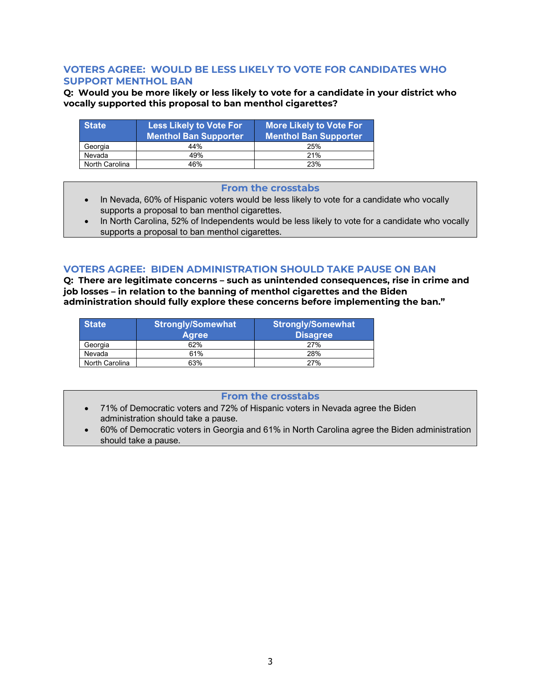## **VOTERS AGREE: WOULD BE LESS LIKELY TO VOTE FOR CANDIDATES WHO SUPPORT MENTHOL BAN**

**Q: Would you be more likely or less likely to vote for a candidate in your district who vocally supported this proposal to ban menthol cigarettes?**

| <b>State</b>   | <b>Less Likely to Vote For</b><br><b>Menthol Ban Supporter</b> | More Likely to Vote For<br><b>Menthol Ban Supporter</b> |  |
|----------------|----------------------------------------------------------------|---------------------------------------------------------|--|
| Georgia        | 44%                                                            | 25%                                                     |  |
| Nevada         | 49%                                                            | 21%                                                     |  |
| North Carolina | 46%                                                            | 23%                                                     |  |

#### **From the crosstabs**

- In Nevada, 60% of Hispanic voters would be less likely to vote for a candidate who vocally supports a proposal to ban menthol cigarettes.
- In North Carolina, 52% of Independents would be less likely to vote for a candidate who vocally supports a proposal to ban menthol cigarettes.

## **VOTERS AGREE: BIDEN ADMINISTRATION SHOULD TAKE PAUSE ON BAN**

**Q: There are legitimate concerns – such as unintended consequences, rise in crime and job losses – in relation to the banning of menthol cigarettes and the Biden administration should fully explore these concerns before implementing the ban."**

| <b>State</b>   | <b>Strongly/Somewhat</b><br><b>Agree</b> | <b>Strongly/Somewhat</b><br><b>Disagree</b> |  |
|----------------|------------------------------------------|---------------------------------------------|--|
| Georgia        | 62%                                      | 27%                                         |  |
| Nevada         | 61%                                      | 28%                                         |  |
| North Carolina | 63%                                      | 27%                                         |  |

## **From the crosstabs**

- 71% of Democratic voters and 72% of Hispanic voters in Nevada agree the Biden administration should take a pause.
- 60% of Democratic voters in Georgia and 61% in North Carolina agree the Biden administration should take a pause.